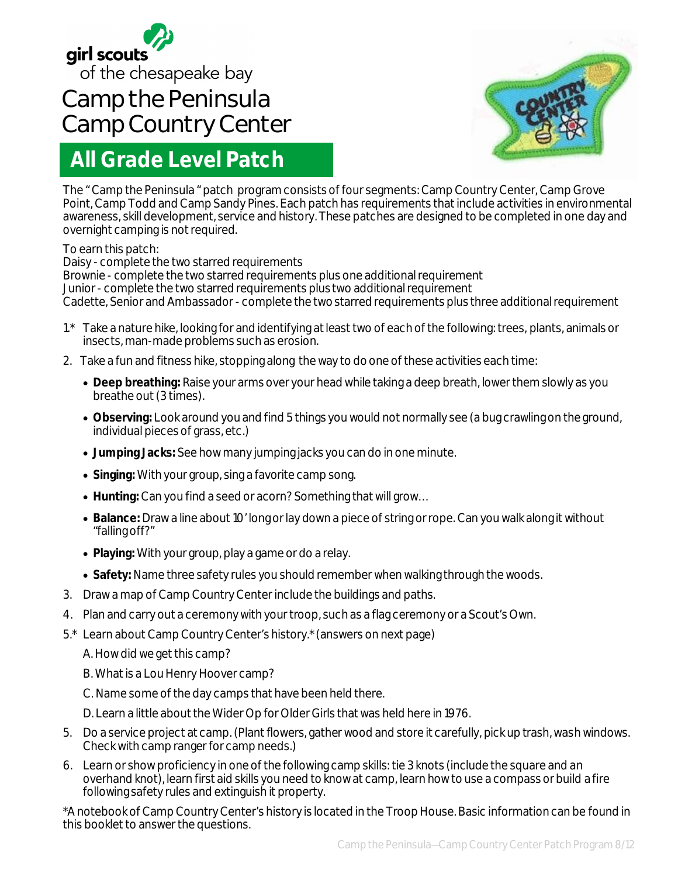

## **Camp the Peninsula Camp Country Center**

## **All Grade Level Patch**



The " Camp the Peninsula " patch program consists of four segments: Camp Country Center, Camp Grove Point, Camp Todd and Camp Sandy Pines. Each patch has requirements that include activities in environmental awareness, skill development, service and history. These patches are designed to be completed in one day and overnight camping is not required.

## To earn this patch:

Daisy - complete the two starred requirements Brownie - complete the two starred requirements plus one additional requirement Junior - complete the two starred requirements plus two additional requirement Cadette, Senior and Ambassador - complete the two starred requirements plus three additional requirement

- 1.\* Take a nature hike, looking for and identifying at least two of each of the following: trees, plants, animals or insects, man-made problems such as erosion.
- 2. Take a fun and fitness hike, stopping along the way to do one of these activities each time:
	- **Deep breathing:** Raise your arms over your head while taking a deep breath, lower them slowly as you breathe out (3 times).
	- **Observing:** Look around you and find 5 things you would not normally see (a bug crawling on the ground, individual pieces of grass, etc.)
	- **Jumping Jacks:** See how many jumping jacks you can do in one minute.
	- **Singing:** With your group, sing a favorite camp song.
	- **Hunting:** Can you find a seed or acorn? Something that will grow…
	- **Balance:** Draw a line about 10' long or lay down a piece of string or rope. Can you walk along it without "falling off?"
	- **Playing:** With your group, play a game or do a relay.
	- **Safety:** Name three safety rules you should remember when walking through the woods.
- 3. Draw a map of Camp Country Center include the buildings and paths.
- 4. Plan and carry out a ceremony with your troop, such as a flag ceremony or a Scout's Own.
- 5.\* Learn about Camp Country Center's history.\* (answers on next page)
	- A. How did we get this camp?
	- B. What is a Lou Henry Hoover camp?
	- C. Name some of the day camps that have been held there.
	- D. Learn a little about the Wider Op for Older Girls that was held here in 1976.
- 5. Do a service project at camp. (Plant flowers, gather wood and store it carefully, pick up trash, wash windows. Check with camp ranger for camp needs.)
- 6. Learn or show proficiency in one of the following camp skills: tie 3 knots (include the square and an overhand knot), learn first aid skills you need to know at camp, learn how to use a compass or build a fire following safety rules and extinguish it property.

\*A notebook of Camp Country Center's history is located in the Troop House. Basic information can be found in this booklet to answer the questions.